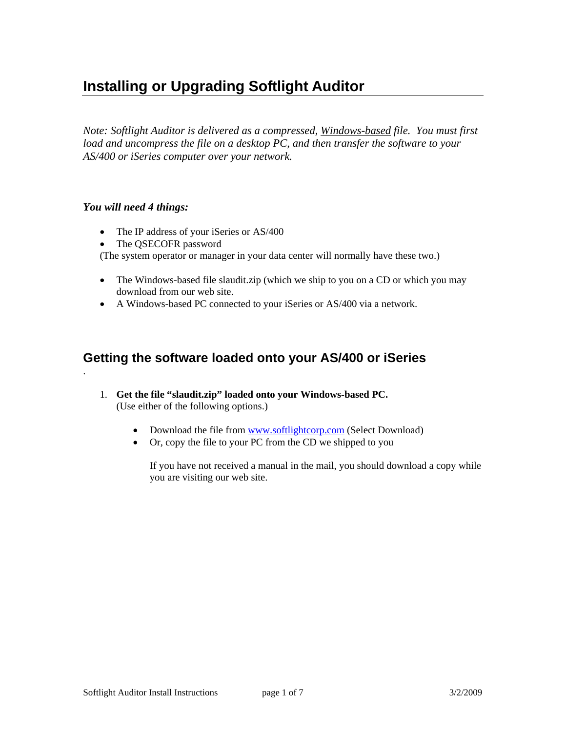# **Installing or Upgrading Softlight Auditor**

*Note: Softlight Auditor is delivered as a compressed, Windows-based file. You must first load and uncompress the file on a desktop PC, and then transfer the software to your AS/400 or iSeries computer over your network.* 

#### *You will need 4 things:*

.

- The IP address of your iSeries or AS/400
- The QSECOFR password

(The system operator or manager in your data center will normally have these two.)

- The Windows-based file slaudit.zip (which we ship to you on a CD or which you may download from our web site.
- A Windows-based PC connected to your iSeries or AS/400 via a network.

# **Getting the software loaded onto your AS/400 or iSeries**

- 1. **Get the file "slaudit.zip" loaded onto your Windows-based PC.** (Use either of the following options.)
	- Download the file from www.softlightcorp.com (Select Download)
	- Or, copy the file to your PC from the CD we shipped to you

If you have not received a manual in the mail, you should download a copy while you are visiting our web site.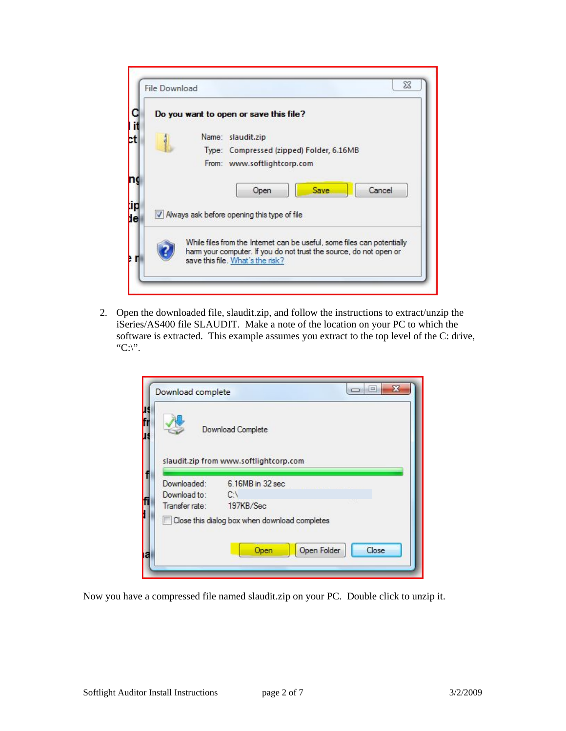| Do you want to open or save this file?                                                                                                        |
|-----------------------------------------------------------------------------------------------------------------------------------------------|
| Name: slaudit.zip                                                                                                                             |
| Type: Compressed (zipped) Folder, 6.16MB                                                                                                      |
| From: www.softlightcorp.com                                                                                                                   |
|                                                                                                                                               |
| Cancel<br>Save<br>Open                                                                                                                        |
|                                                                                                                                               |
| V Always ask before opening this type of file                                                                                                 |
|                                                                                                                                               |
| While files from the Internet can be useful, some files can potentially<br>harm your computer. If you do not trust the source, do not open or |

2. Open the downloaded file, slaudit.zip, and follow the instructions to extract/unzip the iSeries/AS400 file SLAUDIT. Make a note of the location on your PC to which the software is extracted. This example assumes you extract to the top level of the C: drive, "C:\".

|                             | Download Complete                             |
|-----------------------------|-----------------------------------------------|
|                             | slaudit.zip from www.softlightcorp.com        |
| Downloaded:<br>Download to: | 6.16MB in 32 sec<br>$C \setminus$             |
| Transfer rate:              | 197KB/Sec                                     |
|                             | Close this dialog box when download completes |

Now you have a compressed file named slaudit.zip on your PC. Double click to unzip it.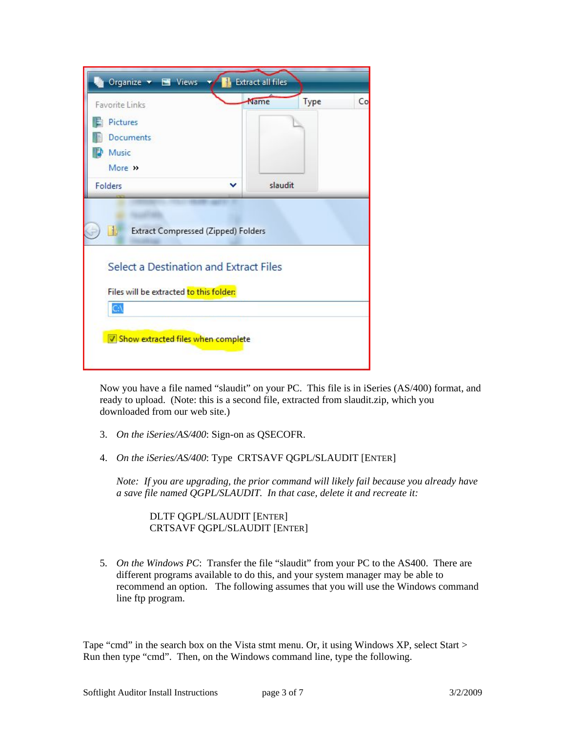| Favorite Links<br><b>Pictures</b><br><b>Documents</b>                                                                                     | Name | <b>Extract all files</b> | Type<br>Co |
|-------------------------------------------------------------------------------------------------------------------------------------------|------|--------------------------|------------|
| Music<br>More >><br>Folders                                                                                                               |      | slaudit                  |            |
|                                                                                                                                           |      |                          |            |
| Extract Compressed (Zipped) Folders<br>$\frac{1}{2}$<br>Select a Destination and Extract Files<br>Files will be extracted to this folder: |      |                          |            |

Now you have a file named "slaudit" on your PC. This file is in iSeries (AS/400) format, and ready to upload. (Note: this is a second file, extracted from slaudit.zip, which you downloaded from our web site.)

- 3. *On the iSeries/AS/400*: Sign-on as QSECOFR.
- 4. *On the iSeries/AS/400*: Type CRTSAVF QGPL/SLAUDIT [ENTER]

*Note: If you are upgrading, the prior command will likely fail because you already have a save file named QGPL/SLAUDIT. In that case, delete it and recreate it:*

 DLTF QGPL/SLAUDIT [ENTER] CRTSAVF QGPL/SLAUDIT [ENTER]

5. *On the Windows PC*: Transfer the file "slaudit" from your PC to the AS400. There are different programs available to do this, and your system manager may be able to recommend an option. The following assumes that you will use the Windows command line ftp program.

Tape "cmd" in the search box on the Vista stmt menu. Or, it using Windows XP, select Start > Run then type "cmd". Then, on the Windows command line, type the following.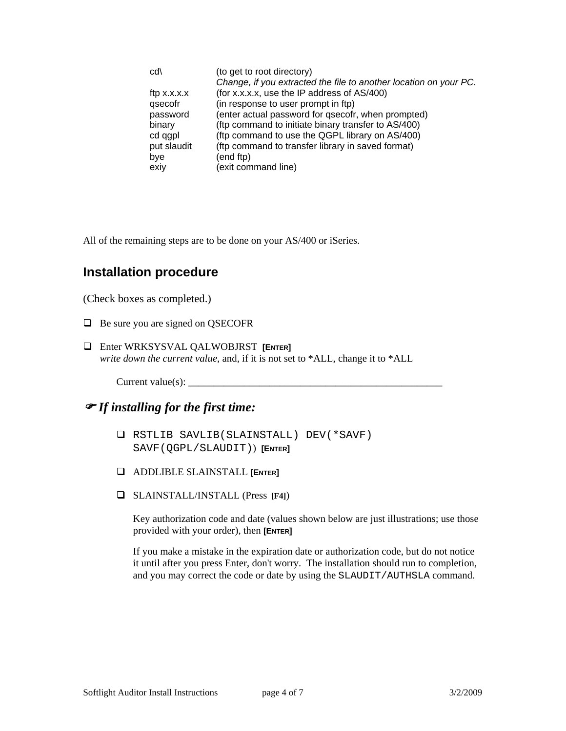| cd\           | (to get to root directory)                                        |
|---------------|-------------------------------------------------------------------|
|               | Change, if you extracted the file to another location on your PC. |
| ftp $x.x.x.x$ | (for x.x.x.x, use the IP address of AS/400)                       |
| qsecofr       | (in response to user prompt in ftp)                               |
| password      | (enter actual password for qsecofr, when prompted)                |
| binary        | (ftp command to initiate binary transfer to AS/400)               |
| cd qgpl       | (ftp command to use the QGPL library on AS/400)                   |
| put slaudit   | (ftp command to transfer library in saved format)                 |
| bye           | (end ftp)                                                         |
| exiy          | (exit command line)                                               |

All of the remaining steps are to be done on your AS/400 or iSeries.

## **Installation procedure**

(Check boxes as completed.)

- $\Box$  Be sure you are signed on QSECOFR
- Enter WRKSYSVAL QALWOBJRST **[ENTER]** *write down the current value*, and, if it is not set to \*ALL, change it to \*ALL

 $Current value(s):$ 

) *If installing for the first time:* 

- RSTLIB SAVLIB(SLAINSTALL) DEV(\*SAVF) SAVF(QGPL/SLAUDIT)) **[ENTER]**
- ADDLIBLE SLAINSTALL **[ENTER]**
- SLAINSTALL/INSTALL (Press **[F4]**)

Key authorization code and date (values shown below are just illustrations; use those provided with your order), then **[ENTER]** 

If you make a mistake in the expiration date or authorization code, but do not notice it until after you press Enter, don't worry. The installation should run to completion, and you may correct the code or date by using the SLAUDIT/AUTHSLA command.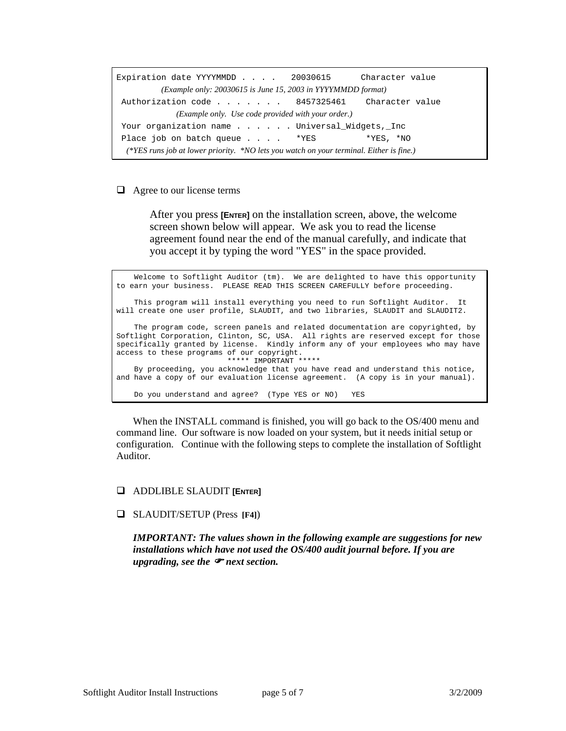Expiration date YYYYMMDD . . . . 20030615 Character value *(Example only: 20030615 is June 15, 2003 in YYYYMMDD format)* Authorization code . . . . . . . 8457325461 Character value *(Example only. Use code provided with your order.)* Your organization name . . . . . Universal\_Widgets,\_Inc Place job on batch queue . . . . \*YES \*YES, \*NO *(\*YES runs job at lower priority. \*NO lets you watch on your terminal. Either is fine.)*

#### $\Box$  Agree to our license terms

After you press **[ENTER]** on the installation screen, above, the welcome screen shown below will appear. We ask you to read the license agreement found near the end of the manual carefully, and indicate that you accept it by typing the word "YES" in the space provided.

 Welcome to Softlight Auditor (tm). We are delighted to have this opportunity to earn your business. PLEASE READ THIS SCREEN CAREFULLY before proceeding. This program will install everything you need to run Softlight Auditor. It will create one user profile, SLAUDIT, and two libraries, SLAUDIT and SLAUDIT2. The program code, screen panels and related documentation are copyrighted, by Softlight Corporation, Clinton, SC, USA. All rights are reserved except for those specifically granted by license. Kindly inform any of your employees who may have access to these programs of our copyright. \*\*\*\*\* IMPORTANT \*\*\*\*\* By proceeding, you acknowledge that you have read and understand this notice, and have a copy of our evaluation license agreement. (A copy is in your manual). Do you understand and agree? (Type YES or NO) YES

When the INSTALL command is finished, you will go back to the OS/400 menu and command line. Our software is now loaded on your system, but it needs initial setup or configuration. Continue with the following steps to complete the installation of Softlight Auditor.

#### ADDLIBLE SLAUDIT **[ENTER]**

#### SLAUDIT/SETUP (Press **[F4]**)

*IMPORTANT: The values shown in the following example are suggestions for new installations which have not used the OS/400 audit journal before. If you are upgrading, see the* ) *next section.*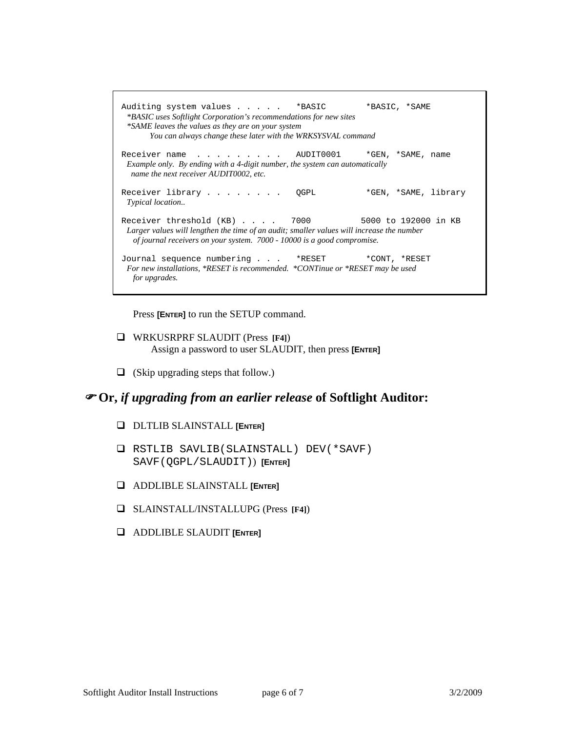Auditing system values . . . . . \* BASIC \* \* BASIC, \* SAME  *\*BASIC uses Softlight Corporation's recommendations for new sites \*SAME leaves the values as they are on your system You can always change these later with the WRKSYSVAL command*  Receiver name . . . . . . . . AUDIT0001 \*GEN, \*SAME, name  *Example only. By ending with a 4-digit number, the system can automatically name the next receiver AUDIT0002, etc.*  Receiver library . . . . . . . . QGPL \*GEN, \*SAME, library *Typical location..*  Receiver threshold (KB) . . . . 7000 5000 to 192000 in KB  *Larger values will lengthen the time of an audit; smaller values will increase the number of journal receivers on your system. 7000 - 10000 is a good compromise.*  Journal sequence numbering . . . \*RESET \*CONT, \*RESET  *For new installations, \*RESET is recommended. \*CONTinue or \*RESET may be used for upgrades.* 

Press **[ENTER]** to run the SETUP command.

- WRKUSRPRF SLAUDIT (Press **[F4]**) Assign a password to user SLAUDIT, then press **[ENTER]**
- $\Box$  (Skip upgrading steps that follow.)

### ) **Or,** *if upgrading from an earlier release* **of Softlight Auditor:**

- DLTLIB SLAINSTALL **[ENTER]**
- RSTLIB SAVLIB(SLAINSTALL) DEV(\*SAVF) SAVF(QGPL/SLAUDIT)) **[ENTER]**
- ADDLIBLE SLAINSTALL **[ENTER]**
- SLAINSTALL/INSTALLUPG (Press **[F4]**)
- ADDLIBLE SLAUDIT **[ENTER]**